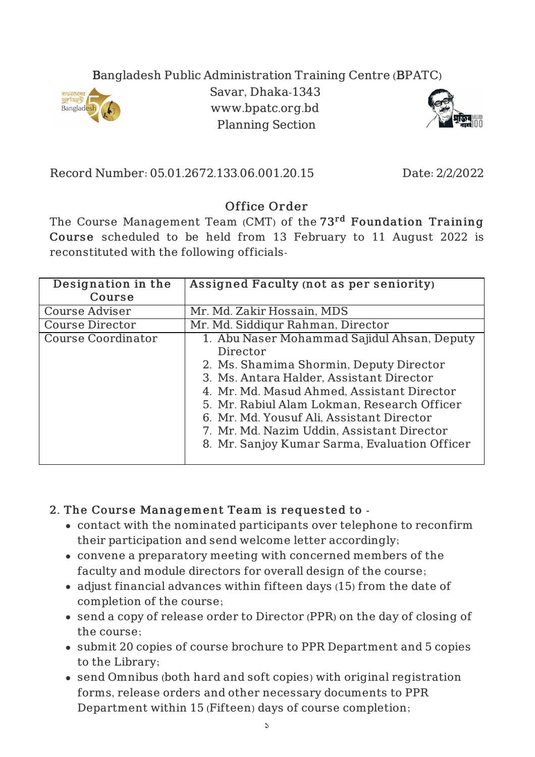## Bangladesh Public Administration Training Centre (BPATC)



Savar, Dhaka-1343 www.bpatc.org.bd Planning Section



Record Number: 05.01.2672.133.06.001.20.15 Date: 2/2/2022

## Office Order

The Course Management Team (CMT) of the 73<sup>rd</sup> Foundation Training Course scheduled to be held from 13 February to 11 August 2022 is reconstituted with the following officials-

| Designation in the     | Assigned Faculty (not as per seniority)       |
|------------------------|-----------------------------------------------|
| Course                 |                                               |
| <b>Course Adviser</b>  | Mr. Md. Zakir Hossain, MDS                    |
| <b>Course Director</b> | Mr. Md. Siddiqur Rahman, Director             |
| Course Coordinator     | 1. Abu Naser Mohammad Sajidul Ahsan, Deputy   |
|                        | Director                                      |
|                        | 2. Ms. Shamima Shormin, Deputy Director       |
|                        | 3. Ms. Antara Halder, Assistant Director      |
|                        | 4. Mr. Md. Masud Ahmed, Assistant Director    |
|                        | 5. Mr. Rabiul Alam Lokman, Research Officer   |
|                        | 6. Mr. Md. Yousuf Ali, Assistant Director     |
|                        | 7. Mr. Md. Nazim Uddin, Assistant Director    |
|                        | 8. Mr. Sanjoy Kumar Sarma, Evaluation Officer |

## 2. The Course Management Team is requested to -

- contact with the nominated participants over telephone to reconfirm their participation and send welcome letter accordingly;
- convene a preparatory meeting with concerned members of the faculty and module directors for overall design of the course;
- adjust financial advances within fifteen days (15) from the date of completion of the course;
- send a copy of release order to Director (PPR) on the day of closing of the course;
- submit 20 copies of course brochure to PPR Department and 5 copies to the Library;
- send Omnibus (both hard and soft copies) with original registration forms, release orders and other necessary documents to PPR Department within 15 (Fifteen) days of course completion;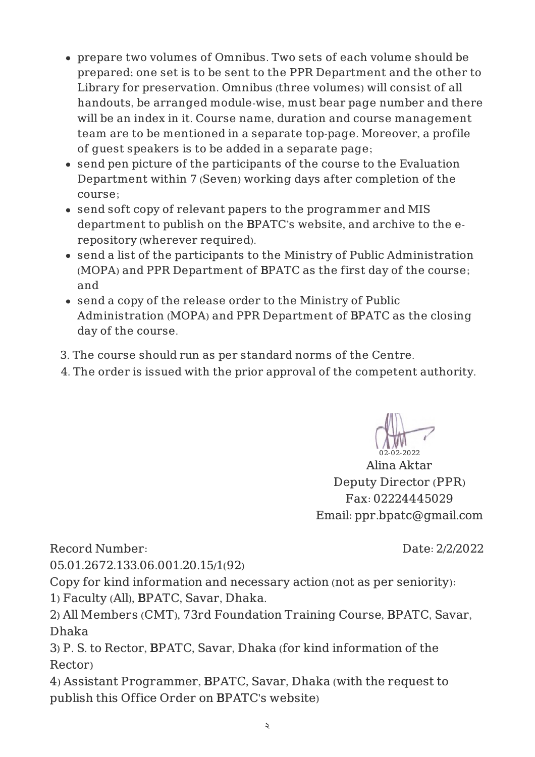- prepare two volumes of Omnibus. Two sets of each volume should be prepared; one set is to be sent to the PPR Department and the other to Library for preservation. Omnibus (three volumes) will consist of all handouts, be arranged module-wise, must bear page number and there will be an index in it. Course name, duration and course management team are to be mentioned in a separate top-page. Moreover, a profile of guest speakers is to be added in a separate page;
- send pen picture of the participants of the course to the Evaluation Department within 7 (Seven) working days after completion of the course;
- send soft copy of relevant papers to the programmer and MIS department to publish on the BPATC's website, and archive to the erepository (wherever required).
- send a list of the participants to the Ministry of Public Administration (MOPA) and PPR Department of BPATC as the first day of the course; and
- send a copy of the release order to the Ministry of Public Administration (MOPA) and PPR Department of BPATC as the closing day of the course.
- 3. The course should run as per standard norms of the Centre.
- 4. The order is issued with the prior approval of the competent authority.

02-02-2022

Alina Aktar Deputy Director (PPR) Fax: 02224445029 Email: ppr.bpatc@gmail.com

Record Number:

Date: 2/2/2022

05.01.2672.133.06.001.20.15/1(92)

Copy for kind information and necessary action (not as per seniority): 1) Faculty (All), BPATC, Savar, Dhaka.

2) All Members (CMT), 73rd Foundation Training Course, BPATC, Savar, Dhaka

3) P. S. to Rector, BPATC, Savar, Dhaka (for kind information of the Rector)

4) Assistant Programmer, BPATC, Savar, Dhaka (with the request to publish this Office Order on BPATC's website)